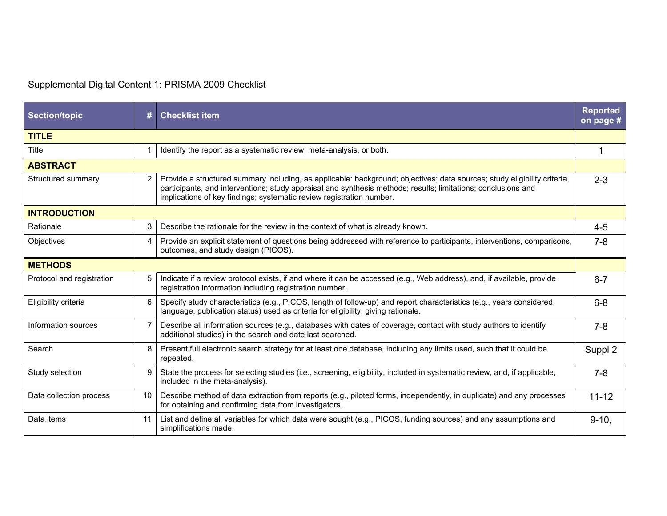## Supplemental Digital Content 1: PRISMA 2009 Checklist

| <b>Section/topic</b>      | #              | <b>Checklist item</b>                                                                                                                                                                                                                                                                                             | <b>Reported</b><br>on page # |  |  |
|---------------------------|----------------|-------------------------------------------------------------------------------------------------------------------------------------------------------------------------------------------------------------------------------------------------------------------------------------------------------------------|------------------------------|--|--|
| <b>TITLE</b>              |                |                                                                                                                                                                                                                                                                                                                   |                              |  |  |
| Title                     |                | Identify the report as a systematic review, meta-analysis, or both.                                                                                                                                                                                                                                               | $\blacktriangleleft$         |  |  |
| <b>ABSTRACT</b>           |                |                                                                                                                                                                                                                                                                                                                   |                              |  |  |
| Structured summary        | 2              | Provide a structured summary including, as applicable: background; objectives; data sources; study eligibility criteria,<br>participants, and interventions; study appraisal and synthesis methods; results; limitations; conclusions and<br>implications of key findings; systematic review registration number. | $2 - 3$                      |  |  |
| <b>INTRODUCTION</b>       |                |                                                                                                                                                                                                                                                                                                                   |                              |  |  |
| Rationale                 | 3              | Describe the rationale for the review in the context of what is already known.                                                                                                                                                                                                                                    | $4 - 5$                      |  |  |
| Objectives                | 4              | Provide an explicit statement of questions being addressed with reference to participants, interventions, comparisons,<br>outcomes, and study design (PICOS).                                                                                                                                                     | $7 - 8$                      |  |  |
| <b>METHODS</b>            |                |                                                                                                                                                                                                                                                                                                                   |                              |  |  |
| Protocol and registration | 5              | Indicate if a review protocol exists, if and where it can be accessed (e.g., Web address), and, if available, provide<br>registration information including registration number.                                                                                                                                  | $6 - 7$                      |  |  |
| Eligibility criteria      | 6              | Specify study characteristics (e.g., PICOS, length of follow-up) and report characteristics (e.g., years considered,<br>language, publication status) used as criteria for eligibility, giving rationale.                                                                                                         | $6 - 8$                      |  |  |
| Information sources       | $\overline{7}$ | Describe all information sources (e.g., databases with dates of coverage, contact with study authors to identify<br>additional studies) in the search and date last searched.                                                                                                                                     | $7 - 8$                      |  |  |
| Search                    | 8              | Present full electronic search strategy for at least one database, including any limits used, such that it could be<br>repeated.                                                                                                                                                                                  | Suppl 2                      |  |  |
| Study selection           | 9              | State the process for selecting studies (i.e., screening, eligibility, included in systematic review, and, if applicable,<br>included in the meta-analysis).                                                                                                                                                      | $7 - 8$                      |  |  |
| Data collection process   | 10             | Describe method of data extraction from reports (e.g., piloted forms, independently, in duplicate) and any processes<br>for obtaining and confirming data from investigators.                                                                                                                                     | $11 - 12$                    |  |  |
| Data items                | 11             | List and define all variables for which data were sought (e.g., PICOS, funding sources) and any assumptions and<br>simplifications made.                                                                                                                                                                          | $9 - 10.$                    |  |  |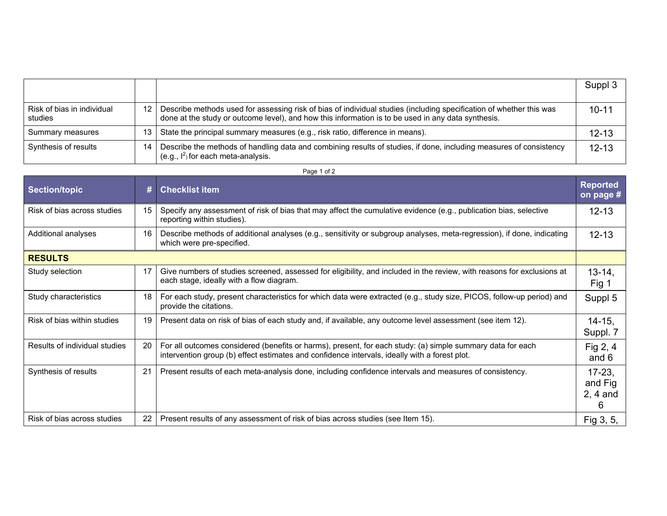|                                       |     |                                                                                                                                                                                                                           | Suppl 3   |
|---------------------------------------|-----|---------------------------------------------------------------------------------------------------------------------------------------------------------------------------------------------------------------------------|-----------|
| Risk of bias in individual<br>studies | 12  | Describe methods used for assessing risk of bias of individual studies (including specification of whether this was<br>done at the study or outcome level), and how this information is to be used in any data synthesis. | $10 - 11$ |
| Summary measures                      | 13. | State the principal summary measures (e.g., risk ratio, difference in means).                                                                                                                                             | $12 - 13$ |
| Synthesis of results                  | 14  | Describe the methods of handling data and combining results of studies, if done, including measures of consistency<br>(e.g., $I^2$ ) for each meta-analysis.                                                              | $12 - 13$ |

| <b>Section/topic</b>          | #              | <b>Checklist item</b>                                                                                                                                                                                       | <b>Reported</b><br>on page #             |
|-------------------------------|----------------|-------------------------------------------------------------------------------------------------------------------------------------------------------------------------------------------------------------|------------------------------------------|
| Risk of bias across studies   | 15             | Specify any assessment of risk of bias that may affect the cumulative evidence (e.g., publication bias, selective<br>reporting within studies).                                                             | $12 - 13$                                |
| Additional analyses           | 16             | Describe methods of additional analyses (e.g., sensitivity or subgroup analyses, meta-regression), if done, indicating<br>which were pre-specified.                                                         | $12 - 13$                                |
| <b>RESULTS</b>                |                |                                                                                                                                                                                                             |                                          |
| Study selection               | 17             | Give numbers of studies screened, assessed for eligibility, and included in the review, with reasons for exclusions at<br>each stage, ideally with a flow diagram.                                          | $13 - 14$ ,<br>Fig 1                     |
| Study characteristics         | 18             | For each study, present characteristics for which data were extracted (e.g., study size, PICOS, follow-up period) and<br>provide the citations.                                                             | Suppl 5                                  |
| Risk of bias within studies   | 19             | Present data on risk of bias of each study and, if available, any outcome level assessment (see item 12).                                                                                                   | $14 - 15$ .<br>Suppl. 7                  |
| Results of individual studies | 20             | For all outcomes considered (benefits or harms), present, for each study: (a) simple summary data for each<br>intervention group (b) effect estimates and confidence intervals, ideally with a forest plot. | Fig $2, 4$<br>and $6$                    |
| Synthesis of results          | 2 <sup>1</sup> | Present results of each meta-analysis done, including confidence intervals and measures of consistency.                                                                                                     | $17 - 23$<br>and Fig.<br>$2, 4$ and<br>6 |
| Risk of bias across studies   | 22             | Present results of any assessment of risk of bias across studies (see Item 15).                                                                                                                             | Fig 3, 5,                                |